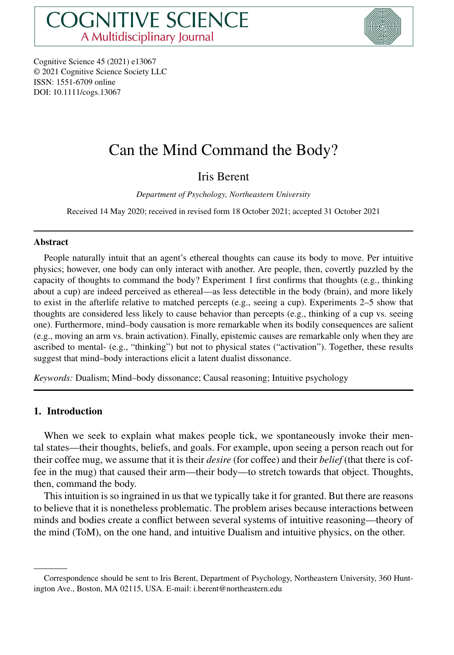

Cognitive Science 45 (2021) e13067 © 2021 Cognitive Science Society LLC ISSN: 1551-6709 online DOI: 10.1111/cogs.13067

# Can the Mind Command the Body?

# Iris Berent

*Department of Psychology, Northeastern University*

Received 14 May 2020; received in revised form 18 October 2021; accepted 31 October 2021

#### **Abstract**

People naturally intuit that an agent's ethereal thoughts can cause its body to move. Per intuitive physics; however, one body can only interact with another. Are people, then, covertly puzzled by the capacity of thoughts to command the body? Experiment 1 first confirms that thoughts (e.g., thinking about a cup) are indeed perceived as ethereal—as less detectible in the body (brain), and more likely to exist in the afterlife relative to matched percepts (e.g., seeing a cup). Experiments 2–5 show that thoughts are considered less likely to cause behavior than percepts (e.g., thinking of a cup vs. seeing one). Furthermore, mind–body causation is more remarkable when its bodily consequences are salient (e.g., moving an arm vs. brain activation). Finally, epistemic causes are remarkable only when they are ascribed to mental- (e.g., "thinking") but not to physical states ("activation"). Together, these results suggest that mind–body interactions elicit a latent dualist dissonance.

*Keywords:* Dualism; Mind–body dissonance; Causal reasoning; Intuitive psychology

# **1. Introduction**

When we seek to explain what makes people tick, we spontaneously invoke their mental states—their thoughts, beliefs, and goals. For example, upon seeing a person reach out for their coffee mug, we assume that it is their *desire* (for coffee) and their *belief* (that there is coffee in the mug) that caused their arm—their body—to stretch towards that object. Thoughts, then, command the body.

This intuition is so ingrained in us that we typically take it for granted. But there are reasons to believe that it is nonetheless problematic. The problem arises because interactions between minds and bodies create a conflict between several systems of intuitive reasoning—theory of the mind (ToM), on the one hand, and intuitive Dualism and intuitive physics, on the other.

Correspondence should be sent to Iris Berent, Department of Psychology, Northeastern University, 360 Huntington Ave., Boston, MA 02115, USA. E-mail: i.berent@northeastern.edu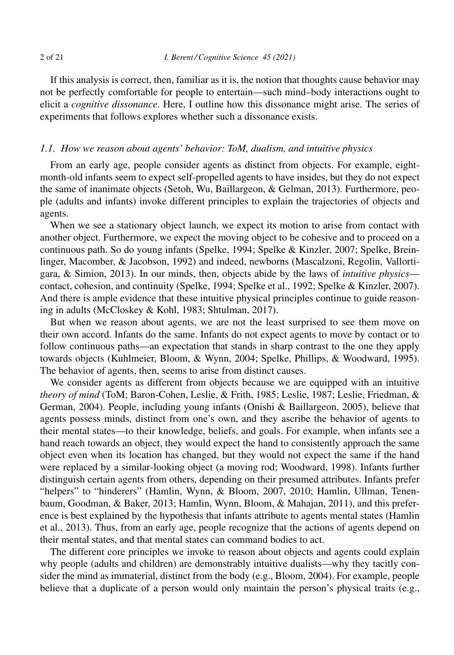If this analysis is correct, then, familiar as it is, the notion that thoughts cause behavior may not be perfectly comfortable for people to entertain—such mind–body interactions ought to elicit a *cognitive dissonance*. Here, I outline how this dissonance might arise. The series of experiments that follows explores whether such a dissonance exists.

# *1.1. How we reason about agents' behavior: ToM, dualism, and intuitive physics*

From an early age, people consider agents as distinct from objects. For example, eightmonth-old infants seem to expect self-propelled agents to have insides, but they do not expect the same of inanimate objects (Setoh, Wu, Baillargeon, & Gelman, 2013). Furthermore, people (adults and infants) invoke different principles to explain the trajectories of objects and agents.

When we see a stationary object launch, we expect its motion to arise from contact with another object. Furthermore, we expect the moving object to be cohesive and to proceed on a continuous path. So do young infants (Spelke, 1994; Spelke & Kinzler, 2007; Spelke, Breinlinger, Macomber, & Jacobson, 1992) and indeed, newborns (Mascalzoni, Regolin, Vallortigara, & Simion, 2013). In our minds, then, objects abide by the laws of *intuitive physics* contact, cohesion, and continuity (Spelke, 1994; Spelke et al., 1992; Spelke & Kinzler, 2007). And there is ample evidence that these intuitive physical principles continue to guide reasoning in adults (McCloskey & Kohl, 1983; Shtulman, 2017).

But when we reason about agents, we are not the least surprised to see them move on their own accord. Infants do the same. Infants do not expect agents to move by contact or to follow continuous paths—an expectation that stands in sharp contrast to the one they apply towards objects (Kuhlmeier, Bloom, & Wynn, 2004; Spelke, Phillips, & Woodward, 1995). The behavior of agents, then, seems to arise from distinct causes.

We consider agents as different from objects because we are equipped with an intuitive *theory of mind* (ToM; Baron-Cohen, Leslie, & Frith, 1985; Leslie, 1987; Leslie, Friedman, & German, 2004). People, including young infants (Onishi & Baillargeon, 2005), believe that agents possess minds, distinct from one's own, and they ascribe the behavior of agents to their mental states—to their knowledge, beliefs, and goals. For example, when infants see a hand reach towards an object, they would expect the hand to consistently approach the same object even when its location has changed, but they would not expect the same if the hand were replaced by a similar-looking object (a moving rod; Woodward, 1998). Infants further distinguish certain agents from others, depending on their presumed attributes. Infants prefer "helpers" to "hinderers" (Hamlin, Wynn, & Bloom, 2007, 2010; Hamlin, Ullman, Tenenbaum, Goodman, & Baker, 2013; Hamlin, Wynn, Bloom, & Mahajan, 2011), and this preference is best explained by the hypothesis that infants attribute to agents mental states (Hamlin et al., 2013). Thus, from an early age, people recognize that the actions of agents depend on their mental states, and that mental states can command bodies to act.

The different core principles we invoke to reason about objects and agents could explain why people (adults and children) are demonstrably intuitive dualists—why they tacitly consider the mind as immaterial, distinct from the body (e.g., Bloom, 2004). For example, people believe that a duplicate of a person would only maintain the person's physical traits (e.g.,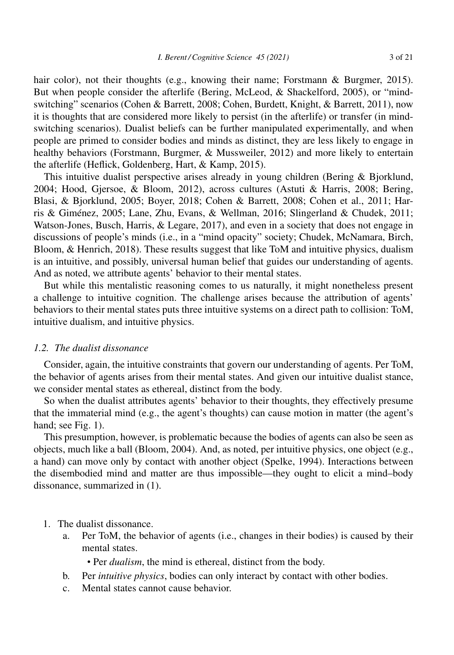hair color), not their thoughts (e.g., knowing their name; Forstmann & Burgmer, 2015). But when people consider the afterlife (Bering, McLeod, & Shackelford, 2005), or "mindswitching" scenarios (Cohen & Barrett, 2008; Cohen, Burdett, Knight, & Barrett, 2011), now it is thoughts that are considered more likely to persist (in the afterlife) or transfer (in mindswitching scenarios). Dualist beliefs can be further manipulated experimentally, and when people are primed to consider bodies and minds as distinct, they are less likely to engage in healthy behaviors (Forstmann, Burgmer, & Mussweiler, 2012) and more likely to entertain the afterlife (Heflick, Goldenberg, Hart, & Kamp, 2015).

This intuitive dualist perspective arises already in young children (Bering & Bjorklund, 2004; Hood, Gjersoe, & Bloom, 2012), across cultures (Astuti & Harris, 2008; Bering, Blasi, & Bjorklund, 2005; Boyer, 2018; Cohen & Barrett, 2008; Cohen et al., 2011; Harris & Giménez, 2005; Lane, Zhu, Evans, & Wellman, 2016; Slingerland & Chudek, 2011; Watson-Jones, Busch, Harris, & Legare, 2017), and even in a society that does not engage in discussions of people's minds (i.e., in a "mind opacity" society; Chudek, McNamara, Birch, Bloom, & Henrich, 2018). These results suggest that like ToM and intuitive physics, dualism is an intuitive, and possibly, universal human belief that guides our understanding of agents. And as noted, we attribute agents' behavior to their mental states.

But while this mentalistic reasoning comes to us naturally, it might nonetheless present a challenge to intuitive cognition. The challenge arises because the attribution of agents' behaviors to their mental states puts three intuitive systems on a direct path to collision: ToM, intuitive dualism, and intuitive physics.

#### *1.2. The dualist dissonance*

Consider, again, the intuitive constraints that govern our understanding of agents. Per ToM, the behavior of agents arises from their mental states. And given our intuitive dualist stance, we consider mental states as ethereal, distinct from the body.

So when the dualist attributes agents' behavior to their thoughts, they effectively presume that the immaterial mind (e.g., the agent's thoughts) can cause motion in matter (the agent's hand; see Fig. 1).

This presumption, however, is problematic because the bodies of agents can also be seen as objects, much like a ball (Bloom, 2004). And, as noted, per intuitive physics, one object (e.g., a hand) can move only by contact with another object (Spelke, 1994). Interactions between the disembodied mind and matter are thus impossible—they ought to elicit a mind–body dissonance, summarized in (1).

#### 1. The dualist dissonance.

a. Per ToM, the behavior of agents (i.e., changes in their bodies) is caused by their mental states.

• Per *dualism*, the mind is ethereal, distinct from the body.

- b. Per *intuitive physics*, bodies can only interact by contact with other bodies.
- c. Mental states cannot cause behavior.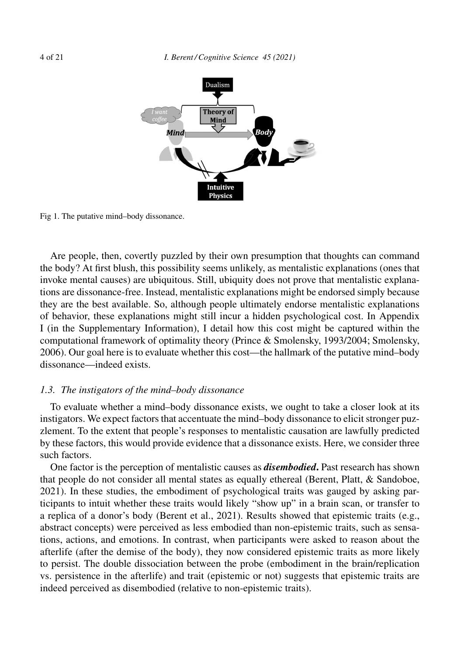

Fig 1. The putative mind–body dissonance.

Are people, then, covertly puzzled by their own presumption that thoughts can command the body? At first blush, this possibility seems unlikely, as mentalistic explanations (ones that invoke mental causes) are ubiquitous. Still, ubiquity does not prove that mentalistic explanations are dissonance-free. Instead, mentalistic explanations might be endorsed simply because they are the best available. So, although people ultimately endorse mentalistic explanations of behavior, these explanations might still incur a hidden psychological cost. In Appendix I (in the Supplementary Information), I detail how this cost might be captured within the computational framework of optimality theory (Prince & Smolensky, 1993/2004; Smolensky, 2006). Our goal here is to evaluate whether this cost—the hallmark of the putative mind–body dissonance—indeed exists.

#### *1.3. The instigators of the mind–body dissonance*

To evaluate whether a mind–body dissonance exists, we ought to take a closer look at its instigators. We expect factors that accentuate the mind–body dissonance to elicit stronger puzzlement. To the extent that people's responses to mentalistic causation are lawfully predicted by these factors, this would provide evidence that a dissonance exists. Here, we consider three such factors.

One factor is the perception of mentalistic causes as *disembodied***.** Past research has shown that people do not consider all mental states as equally ethereal (Berent, Platt, & Sandoboe, 2021). In these studies, the embodiment of psychological traits was gauged by asking participants to intuit whether these traits would likely "show up" in a brain scan, or transfer to a replica of a donor's body (Berent et al., 2021). Results showed that epistemic traits (e.g., abstract concepts) were perceived as less embodied than non-epistemic traits, such as sensations, actions, and emotions. In contrast, when participants were asked to reason about the afterlife (after the demise of the body), they now considered epistemic traits as more likely to persist. The double dissociation between the probe (embodiment in the brain/replication vs. persistence in the afterlife) and trait (epistemic or not) suggests that epistemic traits are indeed perceived as disembodied (relative to non-epistemic traits).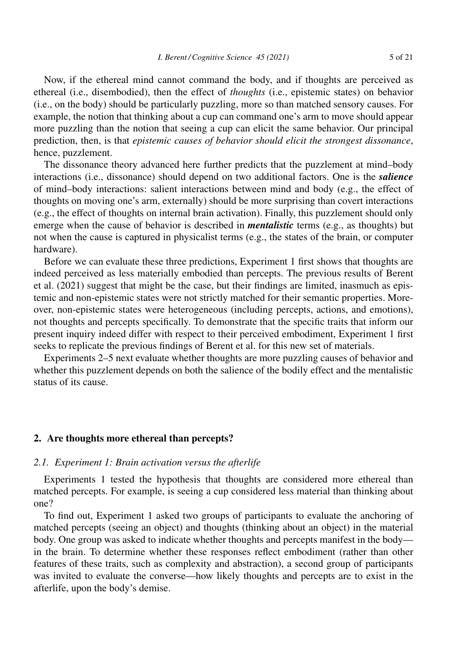Now, if the ethereal mind cannot command the body, and if thoughts are perceived as ethereal (i.e., disembodied), then the effect of *thoughts* (i.e., epistemic states) on behavior (i.e., on the body) should be particularly puzzling, more so than matched sensory causes. For example, the notion that thinking about a cup can command one's arm to move should appear more puzzling than the notion that seeing a cup can elicit the same behavior. Our principal prediction, then, is that *epistemic causes of behavior should elicit the strongest dissonance*, hence, puzzlement.

The dissonance theory advanced here further predicts that the puzzlement at mind–body interactions (i.e., dissonance) should depend on two additional factors. One is the *salience* of mind–body interactions: salient interactions between mind and body (e.g., the effect of thoughts on moving one's arm, externally) should be more surprising than covert interactions (e.g., the effect of thoughts on internal brain activation). Finally, this puzzlement should only emerge when the cause of behavior is described in *mentalistic* terms (e.g., as thoughts) but not when the cause is captured in physicalist terms (e.g., the states of the brain, or computer hardware).

Before we can evaluate these three predictions, Experiment 1 first shows that thoughts are indeed perceived as less materially embodied than percepts. The previous results of Berent et al. (2021) suggest that might be the case, but their findings are limited, inasmuch as epistemic and non-epistemic states were not strictly matched for their semantic properties. Moreover, non-epistemic states were heterogeneous (including percepts, actions, and emotions), not thoughts and percepts specifically. To demonstrate that the specific traits that inform our present inquiry indeed differ with respect to their perceived embodiment, Experiment 1 first seeks to replicate the previous findings of Berent et al. for this new set of materials.

Experiments 2–5 next evaluate whether thoughts are more puzzling causes of behavior and whether this puzzlement depends on both the salience of the bodily effect and the mentalistic status of its cause.

#### **2. Are thoughts more ethereal than percepts?**

#### *2.1. Experiment 1: Brain activation versus the afterlife*

Experiments 1 tested the hypothesis that thoughts are considered more ethereal than matched percepts. For example, is seeing a cup considered less material than thinking about one?

To find out, Experiment 1 asked two groups of participants to evaluate the anchoring of matched percepts (seeing an object) and thoughts (thinking about an object) in the material body. One group was asked to indicate whether thoughts and percepts manifest in the body in the brain. To determine whether these responses reflect embodiment (rather than other features of these traits, such as complexity and abstraction), a second group of participants was invited to evaluate the converse—how likely thoughts and percepts are to exist in the afterlife, upon the body's demise.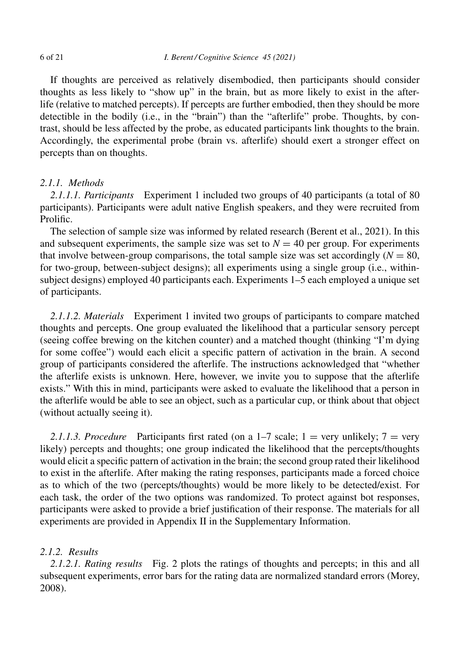If thoughts are perceived as relatively disembodied, then participants should consider thoughts as less likely to "show up" in the brain, but as more likely to exist in the afterlife (relative to matched percepts). If percepts are further embodied, then they should be more detectible in the bodily (i.e., in the "brain") than the "afterlife" probe. Thoughts, by contrast, should be less affected by the probe, as educated participants link thoughts to the brain. Accordingly, the experimental probe (brain vs. afterlife) should exert a stronger effect on percepts than on thoughts.

# *2.1.1. Methods*

*2.1.1.1. Participants* Experiment 1 included two groups of 40 participants (a total of 80 participants). Participants were adult native English speakers, and they were recruited from Prolific.

The selection of sample size was informed by related research (Berent et al., 2021). In this and subsequent experiments, the sample size was set to  $N = 40$  per group. For experiments that involve between-group comparisons, the total sample size was set accordingly  $(N = 80)$ , for two-group, between-subject designs); all experiments using a single group (i.e., withinsubject designs) employed 40 participants each. Experiments 1–5 each employed a unique set of participants.

*2.1.1.2. Materials* Experiment 1 invited two groups of participants to compare matched thoughts and percepts. One group evaluated the likelihood that a particular sensory percept (seeing coffee brewing on the kitchen counter) and a matched thought (thinking "I'm dying for some coffee") would each elicit a specific pattern of activation in the brain. A second group of participants considered the afterlife. The instructions acknowledged that "whether the afterlife exists is unknown. Here, however, we invite you to suppose that the afterlife exists." With this in mind, participants were asked to evaluate the likelihood that a person in the afterlife would be able to see an object, such as a particular cup, or think about that object (without actually seeing it).

2.1.1.3. Procedure Participants first rated (on a  $1-7$  scale;  $1 =$  very unlikely;  $7 =$  very likely) percepts and thoughts; one group indicated the likelihood that the percepts/thoughts would elicit a specific pattern of activation in the brain; the second group rated their likelihood to exist in the afterlife. After making the rating responses, participants made a forced choice as to which of the two (percepts/thoughts) would be more likely to be detected/exist. For each task, the order of the two options was randomized. To protect against bot responses, participants were asked to provide a brief justification of their response. The materials for all experiments are provided in Appendix II in the Supplementary Information.

# *2.1.2. Results*

*2.1.2.1. Rating results* Fig. 2 plots the ratings of thoughts and percepts; in this and all subsequent experiments, error bars for the rating data are normalized standard errors (Morey, 2008).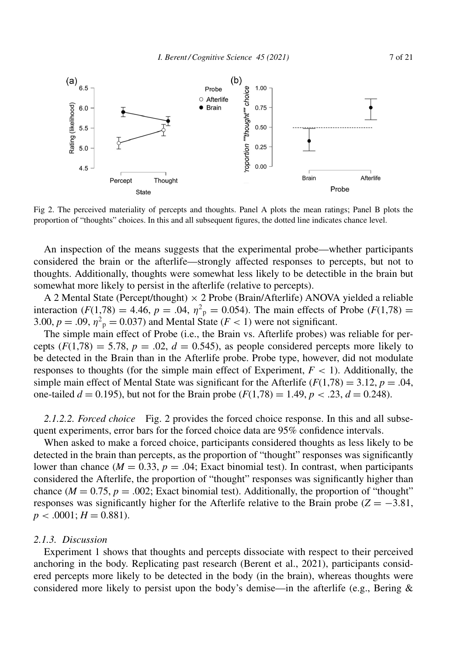

Fig 2. The perceived materiality of percepts and thoughts. Panel A plots the mean ratings; Panel B plots the proportion of "thoughts" choices. In this and all subsequent figures, the dotted line indicates chance level.

An inspection of the means suggests that the experimental probe—whether participants considered the brain or the afterlife—strongly affected responses to percepts, but not to thoughts. Additionally, thoughts were somewhat less likely to be detectible in the brain but somewhat more likely to persist in the afterlife (relative to percepts).

A 2 Mental State (Percept/thought)  $\times$  2 Probe (Brain/Afterlife) ANOVA yielded a reliable interaction (*F*(1,78) = 4.46,  $p = .04$ ,  $\eta^2$ <sub>p</sub> = 0.054). The main effects of Probe (*F*(1,78) = 3.00,  $p = .09$ ,  $\eta^2$ <sub>p</sub> = 0.037) and Mental State (*F* < 1) were not significant.

The simple main effect of Probe (i.e., the Brain vs. Afterlife probes) was reliable for percepts  $(F(1,78) = 5.78, p = .02, d = 0.545)$ , as people considered percepts more likely to be detected in the Brain than in the Afterlife probe. Probe type, however, did not modulate responses to thoughts (for the simple main effect of Experiment,  $F < 1$ ). Additionally, the simple main effect of Mental State was significant for the Afterlife  $(F(1,78) = 3.12, p = .04,$ one-tailed  $d = 0.195$ , but not for the Brain probe  $(F(1,78) = 1.49, p < .23, d = 0.248)$ .

*2.1.2.2. Forced choice* Fig. 2 provides the forced choice response. In this and all subsequent experiments, error bars for the forced choice data are 95% confidence intervals.

When asked to make a forced choice, participants considered thoughts as less likely to be detected in the brain than percepts, as the proportion of "thought" responses was significantly lower than chance  $(M = 0.33, p = .04$ ; Exact binomial test). In contrast, when participants considered the Afterlife, the proportion of "thought" responses was significantly higher than chance ( $M = 0.75$ ,  $p = .002$ ; Exact binomial test). Additionally, the proportion of "thought" responses was significantly higher for the Afterlife relative to the Brain probe ( $Z = -3.81$ ,  $p < .0001; H = 0.881$ .

#### *2.1.3. Discussion*

Experiment 1 shows that thoughts and percepts dissociate with respect to their perceived anchoring in the body. Replicating past research (Berent et al., 2021), participants considered percepts more likely to be detected in the body (in the brain), whereas thoughts were considered more likely to persist upon the body's demise—in the afterlife (e.g., Bering &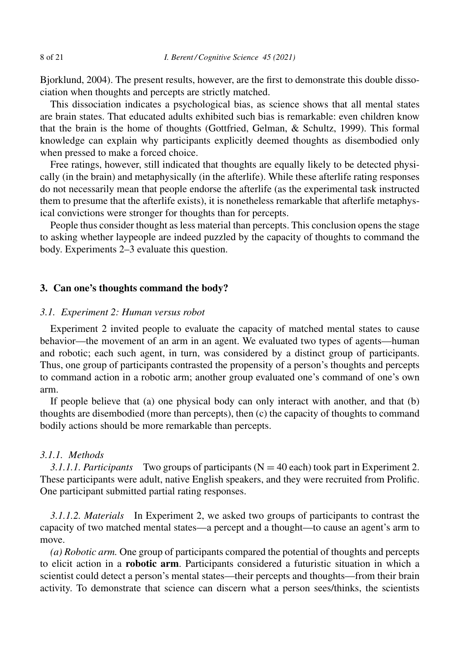Bjorklund, 2004). The present results, however, are the first to demonstrate this double dissociation when thoughts and percepts are strictly matched.

This dissociation indicates a psychological bias, as science shows that all mental states are brain states. That educated adults exhibited such bias is remarkable: even children know that the brain is the home of thoughts (Gottfried, Gelman, & Schultz, 1999). This formal knowledge can explain why participants explicitly deemed thoughts as disembodied only when pressed to make a forced choice.

Free ratings, however, still indicated that thoughts are equally likely to be detected physically (in the brain) and metaphysically (in the afterlife). While these afterlife rating responses do not necessarily mean that people endorse the afterlife (as the experimental task instructed them to presume that the afterlife exists), it is nonetheless remarkable that afterlife metaphysical convictions were stronger for thoughts than for percepts.

People thus consider thought as less material than percepts. This conclusion opens the stage to asking whether laypeople are indeed puzzled by the capacity of thoughts to command the body. Experiments 2–3 evaluate this question.

#### **3. Can one's thoughts command the body?**

#### *3.1. Experiment 2: Human versus robot*

Experiment 2 invited people to evaluate the capacity of matched mental states to cause behavior—the movement of an arm in an agent. We evaluated two types of agents—human and robotic; each such agent, in turn, was considered by a distinct group of participants. Thus, one group of participants contrasted the propensity of a person's thoughts and percepts to command action in a robotic arm; another group evaluated one's command of one's own arm.

If people believe that (a) one physical body can only interact with another, and that (b) thoughts are disembodied (more than percepts), then (c) the capacity of thoughts to command bodily actions should be more remarkable than percepts.

#### *3.1.1. Methods*

*3.1.1.1. Participants* Two groups of participants (N = 40 each) took part in Experiment 2. These participants were adult, native English speakers, and they were recruited from Prolific. One participant submitted partial rating responses.

*3.1.1.2. Materials* In Experiment 2, we asked two groups of participants to contrast the capacity of two matched mental states—a percept and a thought—to cause an agent's arm to move.

*(a) Robotic arm.* One group of participants compared the potential of thoughts and percepts to elicit action in a **robotic arm**. Participants considered a futuristic situation in which a scientist could detect a person's mental states—their percepts and thoughts—from their brain activity. To demonstrate that science can discern what a person sees/thinks, the scientists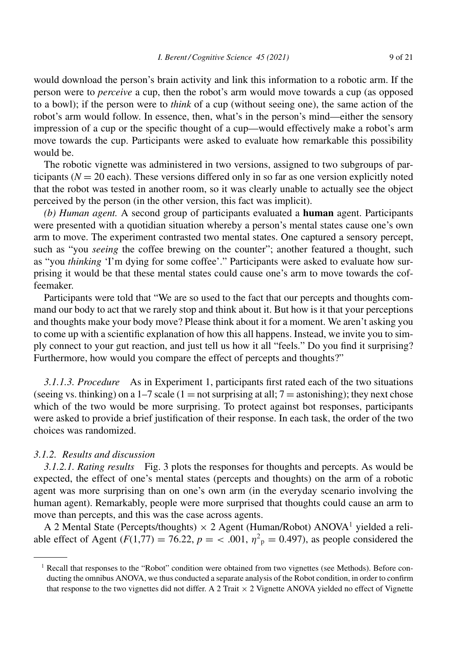would download the person's brain activity and link this information to a robotic arm. If the person were to *perceive* a cup, then the robot's arm would move towards a cup (as opposed to a bowl); if the person were to *think* of a cup (without seeing one), the same action of the robot's arm would follow. In essence, then, what's in the person's mind—either the sensory impression of a cup or the specific thought of a cup—would effectively make a robot's arm move towards the cup. Participants were asked to evaluate how remarkable this possibility would be.

The robotic vignette was administered in two versions, assigned to two subgroups of participants ( $N = 20$  each). These versions differed only in so far as one version explicitly noted that the robot was tested in another room, so it was clearly unable to actually see the object perceived by the person (in the other version, this fact was implicit).

*(b) Human agent.* A second group of participants evaluated a **human** agent. Participants were presented with a quotidian situation whereby a person's mental states cause one's own arm to move. The experiment contrasted two mental states. One captured a sensory percept, such as "you *seeing* the coffee brewing on the counter"; another featured a thought, such as "you *thinking* 'I'm dying for some coffee'." Participants were asked to evaluate how surprising it would be that these mental states could cause one's arm to move towards the coffeemaker.

Participants were told that "We are so used to the fact that our percepts and thoughts command our body to act that we rarely stop and think about it. But how is it that your perceptions and thoughts make your body move? Please think about it for a moment. We aren't asking you to come up with a scientific explanation of how this all happens. Instead, we invite you to simply connect to your gut reaction, and just tell us how it all "feels." Do you find it surprising? Furthermore, how would you compare the effect of percepts and thoughts?"

*3.1.1.3. Procedure* As in Experiment 1, participants first rated each of the two situations (seeing vs. thinking) on a 1–7 scale (1 = not surprising at all;  $7 =$  astonishing); they next chose which of the two would be more surprising. To protect against bot responses, participants were asked to provide a brief justification of their response. In each task, the order of the two choices was randomized.

#### *3.1.2. Results and discussion*

*3.1.2.1. Rating results* Fig. 3 plots the responses for thoughts and percepts. As would be expected, the effect of one's mental states (percepts and thoughts) on the arm of a robotic agent was more surprising than on one's own arm (in the everyday scenario involving the human agent). Remarkably, people were more surprised that thoughts could cause an arm to move than percepts, and this was the case across agents.

A 2 Mental State (Percepts/thoughts)  $\times$  2 Agent (Human/Robot) ANOVA<sup>1</sup> yielded a reliable effect of Agent (*F*(1,77) = 76.22,  $p = \langle .001, \eta^2 \rangle = 0.497$ ), as people considered the

<sup>&</sup>lt;sup>1</sup> Recall that responses to the "Robot" condition were obtained from two vignettes (see Methods). Before conducting the omnibus ANOVA, we thus conducted a separate analysis of the Robot condition, in order to confirm that response to the two vignettes did not differ. A 2 Trait  $\times$  2 Vignette ANOVA yielded no effect of Vignette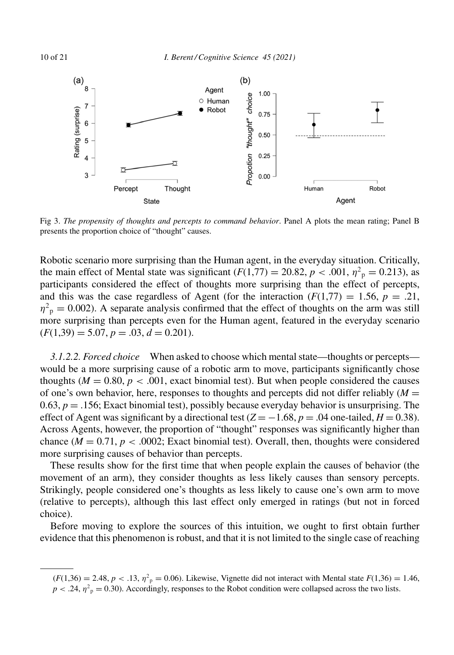

Fig 3. *The propensity of thoughts and percepts to command behavior*. Panel A plots the mean rating; Panel B presents the proportion choice of "thought" causes.

Robotic scenario more surprising than the Human agent, in the everyday situation. Critically, the main effect of Mental state was significant  $(F(1,77) = 20.82, p < .001, \eta^2_p = 0.213)$ , as participants considered the effect of thoughts more surprising than the effect of percepts, and this was the case regardless of Agent (for the interaction  $(F(1,77) = 1.56, p = .21,$  $\eta^2$ <sub>p</sub> = 0.002). A separate analysis confirmed that the effect of thoughts on the arm was still more surprising than percepts even for the Human agent, featured in the everyday scenario  $(F(1,39) = 5.07, p = .03, d = 0.201).$ 

*3.1.2.2. Forced choice* When asked to choose which mental state—thoughts or percepts would be a more surprising cause of a robotic arm to move, participants significantly chose thoughts ( $M = 0.80$ ,  $p < .001$ , exact binomial test). But when people considered the causes of one's own behavior, here, responses to thoughts and percepts did not differ reliably  $(M =$ 0.63,  $p = 0.156$ ; Exact binomial test), possibly because everyday behavior is unsurprising. The effect of Agent was significant by a directional test  $(Z = -1.68, p = .04$  one-tailed,  $H = 0.38$ ). Across Agents, however, the proportion of "thought" responses was significantly higher than chance  $(M = 0.71, p < .0002$ ; Exact binomial test). Overall, then, thoughts were considered more surprising causes of behavior than percepts.

These results show for the first time that when people explain the causes of behavior (the movement of an arm), they consider thoughts as less likely causes than sensory percepts. Strikingly, people considered one's thoughts as less likely to cause one's own arm to move (relative to percepts), although this last effect only emerged in ratings (but not in forced choice).

Before moving to explore the sources of this intuition, we ought to first obtain further evidence that this phenomenon is robust, and that it is not limited to the single case of reaching

 $(F(1,36) = 2.48, p < .13, \eta^2$ <sub>p</sub> = 0.06). Likewise, Vignette did not interact with Mental state  $F(1,36) = 1.46$ ,  $p < .24$ ,  $\eta^2$ <sub>p</sub> = 0.30). Accordingly, responses to the Robot condition were collapsed across the two lists.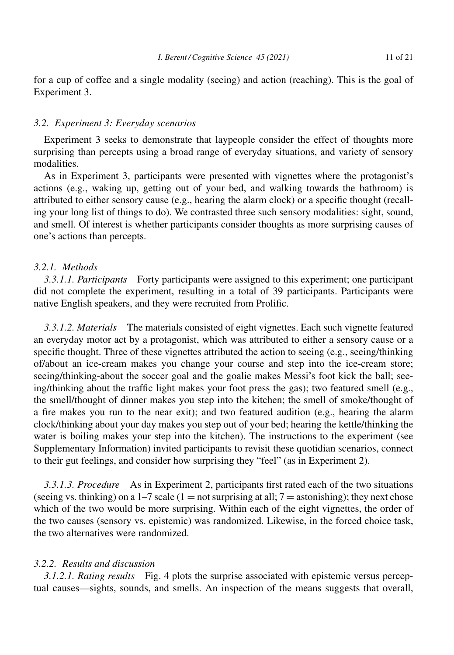for a cup of coffee and a single modality (seeing) and action (reaching). This is the goal of Experiment 3.

#### *3.2. Experiment 3: Everyday scenarios*

Experiment 3 seeks to demonstrate that laypeople consider the effect of thoughts more surprising than percepts using a broad range of everyday situations, and variety of sensory modalities.

As in Experiment 3, participants were presented with vignettes where the protagonist's actions (e.g., waking up, getting out of your bed, and walking towards the bathroom) is attributed to either sensory cause (e.g., hearing the alarm clock) or a specific thought (recalling your long list of things to do). We contrasted three such sensory modalities: sight, sound, and smell. Of interest is whether participants consider thoughts as more surprising causes of one's actions than percepts.

## *3.2.1. Methods*

*3.3.1.1. Participants* Forty participants were assigned to this experiment; one participant did not complete the experiment, resulting in a total of 39 participants. Participants were native English speakers, and they were recruited from Prolific.

*3.3.1.2. Materials* The materials consisted of eight vignettes. Each such vignette featured an everyday motor act by a protagonist, which was attributed to either a sensory cause or a specific thought. Three of these vignettes attributed the action to seeing (e.g., seeing/thinking of/about an ice-cream makes you change your course and step into the ice-cream store; seeing/thinking-about the soccer goal and the goalie makes Messi's foot kick the ball; seeing/thinking about the traffic light makes your foot press the gas); two featured smell (e.g., the smell/thought of dinner makes you step into the kitchen; the smell of smoke/thought of a fire makes you run to the near exit); and two featured audition (e.g., hearing the alarm clock/thinking about your day makes you step out of your bed; hearing the kettle/thinking the water is boiling makes your step into the kitchen). The instructions to the experiment (see Supplementary Information) invited participants to revisit these quotidian scenarios, connect to their gut feelings, and consider how surprising they "feel" (as in Experiment 2).

*3.3.1.3. Procedure* As in Experiment 2, participants first rated each of the two situations (seeing vs. thinking) on a 1–7 scale (1 = not surprising at all;  $7 =$  astonishing); they next chose which of the two would be more surprising. Within each of the eight vignettes, the order of the two causes (sensory vs. epistemic) was randomized. Likewise, in the forced choice task, the two alternatives were randomized.

# *3.2.2. Results and discussion*

*3.1.2.1. Rating results* Fig. 4 plots the surprise associated with epistemic versus perceptual causes—sights, sounds, and smells. An inspection of the means suggests that overall,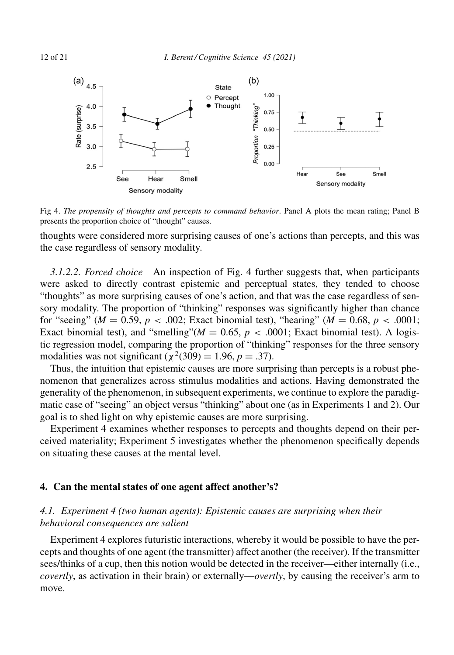

Fig 4. *The propensity of thoughts and percepts to command behavior*. Panel A plots the mean rating; Panel B presents the proportion choice of "thought" causes.

thoughts were considered more surprising causes of one's actions than percepts, and this was the case regardless of sensory modality.

*3.1.2.2. Forced choice* An inspection of Fig. 4 further suggests that, when participants were asked to directly contrast epistemic and perceptual states, they tended to choose "thoughts" as more surprising causes of one's action, and that was the case regardless of sensory modality. The proportion of "thinking" responses was significantly higher than chance for "seeing" ( $M = 0.59$ ,  $p < .002$ ; Exact binomial test), "hearing" ( $M = 0.68$ ,  $p < .0001$ ; Exact binomial test), and "smelling" $(M = 0.65, p < .0001$ ; Exact binomial test). A logistic regression model, comparing the proportion of "thinking" responses for the three sensory modalities was not significant ( $\chi^2(309) = 1.96$ ,  $p = .37$ ).

Thus, the intuition that epistemic causes are more surprising than percepts is a robust phenomenon that generalizes across stimulus modalities and actions. Having demonstrated the generality of the phenomenon, in subsequent experiments, we continue to explore the paradigmatic case of "seeing" an object versus "thinking" about one (as in Experiments 1 and 2). Our goal is to shed light on why epistemic causes are more surprising.

Experiment 4 examines whether responses to percepts and thoughts depend on their perceived materiality; Experiment 5 investigates whether the phenomenon specifically depends on situating these causes at the mental level.

#### **4. Can the mental states of one agent affect another's?**

# *4.1. Experiment 4 (two human agents): Epistemic causes are surprising when their behavioral consequences are salient*

Experiment 4 explores futuristic interactions, whereby it would be possible to have the percepts and thoughts of one agent (the transmitter) affect another (the receiver). If the transmitter sees/thinks of a cup, then this notion would be detected in the receiver—either internally (i.e., *covertly*, as activation in their brain) or externally—*overtly*, by causing the receiver's arm to move.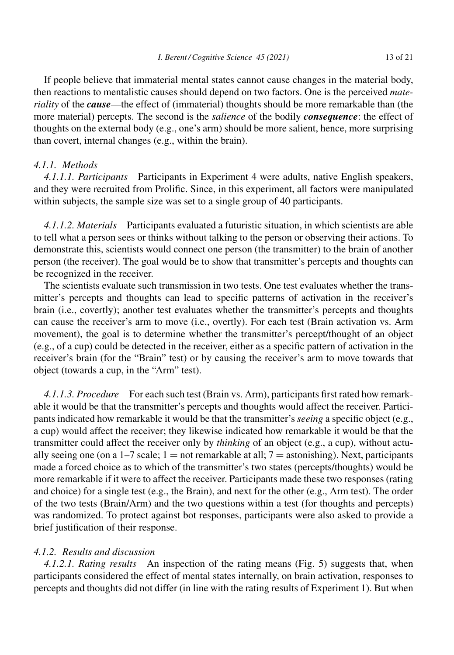If people believe that immaterial mental states cannot cause changes in the material body, then reactions to mentalistic causes should depend on two factors. One is the perceived *materiality* of the *cause*—the effect of (immaterial) thoughts should be more remarkable than (the more material) percepts. The second is the *salience* of the bodily *consequence*: the effect of thoughts on the external body (e.g., one's arm) should be more salient, hence, more surprising than covert, internal changes (e.g., within the brain).

# *4.1.1. Methods*

*4.1.1.1. Participants* Participants in Experiment 4 were adults, native English speakers, and they were recruited from Prolific. Since, in this experiment, all factors were manipulated within subjects, the sample size was set to a single group of 40 participants.

*4.1.1.2. Materials* Participants evaluated a futuristic situation, in which scientists are able to tell what a person sees or thinks without talking to the person or observing their actions. To demonstrate this, scientists would connect one person (the transmitter) to the brain of another person (the receiver). The goal would be to show that transmitter's percepts and thoughts can be recognized in the receiver.

The scientists evaluate such transmission in two tests. One test evaluates whether the transmitter's percepts and thoughts can lead to specific patterns of activation in the receiver's brain (i.e., covertly); another test evaluates whether the transmitter's percepts and thoughts can cause the receiver's arm to move (i.e., overtly). For each test (Brain activation vs. Arm movement), the goal is to determine whether the transmitter's percept/thought of an object (e.g., of a cup) could be detected in the receiver, either as a specific pattern of activation in the receiver's brain (for the "Brain" test) or by causing the receiver's arm to move towards that object (towards a cup, in the "Arm" test).

*4.1.1.3. Procedure* For each such test (Brain vs. Arm), participants first rated how remarkable it would be that the transmitter's percepts and thoughts would affect the receiver. Participants indicated how remarkable it would be that the transmitter's *seeing* a specific object (e.g., a cup) would affect the receiver; they likewise indicated how remarkable it would be that the transmitter could affect the receiver only by *thinking* of an object (e.g., a cup), without actually seeing one (on a  $1-7$  scale; 1 = not remarkable at all; 7 = astonishing). Next, participants made a forced choice as to which of the transmitter's two states (percepts/thoughts) would be more remarkable if it were to affect the receiver. Participants made these two responses (rating and choice) for a single test (e.g., the Brain), and next for the other (e.g., Arm test). The order of the two tests (Brain/Arm) and the two questions within a test (for thoughts and percepts) was randomized. To protect against bot responses, participants were also asked to provide a brief justification of their response.

# *4.1.2. Results and discussion*

*4.1.2.1. Rating results* An inspection of the rating means (Fig. 5) suggests that, when participants considered the effect of mental states internally, on brain activation, responses to percepts and thoughts did not differ (in line with the rating results of Experiment 1). But when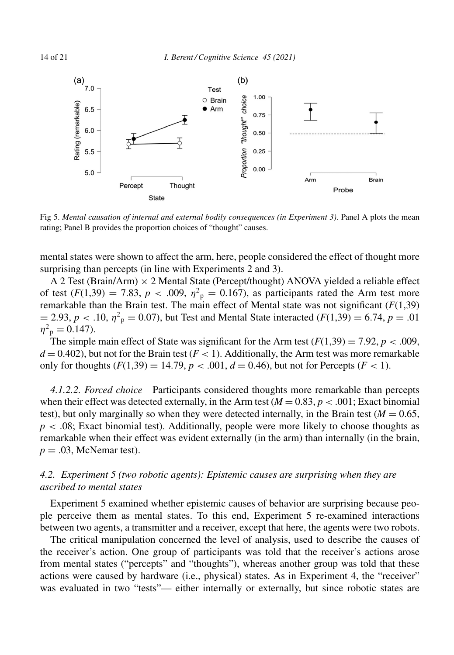

Fig 5. *Mental causation of internal and external bodily consequences (in Experiment 3)*. Panel A plots the mean rating; Panel B provides the proportion choices of "thought" causes.

mental states were shown to affect the arm, here, people considered the effect of thought more surprising than percepts (in line with Experiments 2 and 3).

A 2 Test (Brain/Arm) × 2 Mental State (Percept/thought) ANOVA yielded a reliable effect of test  $(F(1,39) = 7.83, p < .009, \eta^2_p = 0.167)$ , as participants rated the Arm test more remarkable than the Brain test. The main effect of Mental state was not significant (*F*(1,39)  $= 2.93, p < .10, \eta^2$ <sub>p</sub> = 0.07), but Test and Mental State interacted (*F*(1,39) = 6.74, *p* = .01  $\eta^2$ <sub>p</sub> = 0.147).

The simple main effect of State was significant for the Arm test  $(F(1,39) = 7.92, p < .009,$  $d = 0.402$ ), but not for the Brain test ( $F < 1$ ). Additionally, the Arm test was more remarkable only for thoughts  $(F(1,39) = 14.79, p < .001, d = 0.46)$ , but not for Percepts  $(F < 1)$ .

*4.1.2.2. Forced choice* Participants considered thoughts more remarkable than percepts when their effect was detected externally, in the Arm test  $(M = 0.83, p < .001$ ; Exact binomial test), but only marginally so when they were detected internally, in the Brain test ( $M = 0.65$ , *p* < .08; Exact binomial test). Additionally, people were more likely to choose thoughts as remarkable when their effect was evident externally (in the arm) than internally (in the brain,  $p = .03$ , McNemar test).

# *4.2. Experiment 5 (two robotic agents): Epistemic causes are surprising when they are ascribed to mental states*

Experiment 5 examined whether epistemic causes of behavior are surprising because people perceive them as mental states. To this end, Experiment 5 re-examined interactions between two agents, a transmitter and a receiver, except that here, the agents were two robots.

The critical manipulation concerned the level of analysis, used to describe the causes of the receiver's action. One group of participants was told that the receiver's actions arose from mental states ("percepts" and "thoughts"), whereas another group was told that these actions were caused by hardware (i.e., physical) states. As in Experiment 4, the "receiver" was evaluated in two "tests"— either internally or externally, but since robotic states are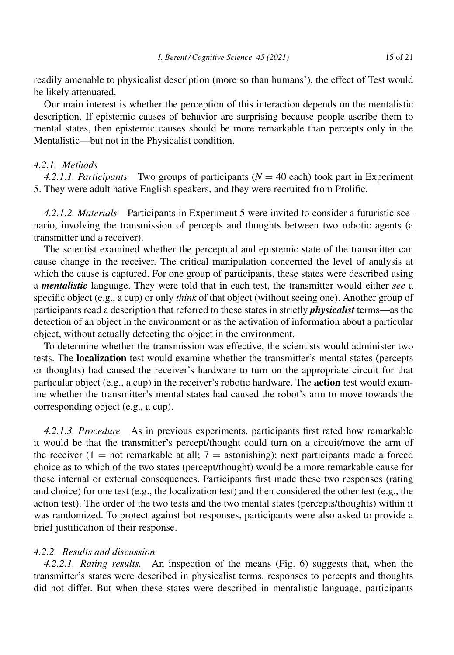readily amenable to physicalist description (more so than humans'), the effect of Test would be likely attenuated.

Our main interest is whether the perception of this interaction depends on the mentalistic description. If epistemic causes of behavior are surprising because people ascribe them to mental states, then epistemic causes should be more remarkable than percepts only in the Mentalistic—but not in the Physicalist condition.

# *4.2.1. Methods*

*4.2.1.1. Participants* Two groups of participants (*N* = 40 each) took part in Experiment 5. They were adult native English speakers, and they were recruited from Prolific.

*4.2.1.2. Materials* Participants in Experiment 5 were invited to consider a futuristic scenario, involving the transmission of percepts and thoughts between two robotic agents (a transmitter and a receiver).

The scientist examined whether the perceptual and epistemic state of the transmitter can cause change in the receiver. The critical manipulation concerned the level of analysis at which the cause is captured. For one group of participants, these states were described using a *mentalistic* language. They were told that in each test, the transmitter would either *see* a specific object (e.g., a cup) or only *think* of that object (without seeing one). Another group of participants read a description that referred to these states in strictly *physicalist* terms—as the detection of an object in the environment or as the activation of information about a particular object, without actually detecting the object in the environment.

To determine whether the transmission was effective, the scientists would administer two tests. The **localization** test would examine whether the transmitter's mental states (percepts or thoughts) had caused the receiver's hardware to turn on the appropriate circuit for that particular object (e.g., a cup) in the receiver's robotic hardware. The **action** test would examine whether the transmitter's mental states had caused the robot's arm to move towards the corresponding object (e.g., a cup).

*4.2.1.3. Procedure* As in previous experiments, participants first rated how remarkable it would be that the transmitter's percept/thought could turn on a circuit/move the arm of the receiver  $(1 = not remarkable at all; 7 = astonishing)$ ; next participants made a forced choice as to which of the two states (percept/thought) would be a more remarkable cause for these internal or external consequences. Participants first made these two responses (rating and choice) for one test (e.g., the localization test) and then considered the other test (e.g., the action test). The order of the two tests and the two mental states (percepts/thoughts) within it was randomized. To protect against bot responses, participants were also asked to provide a brief justification of their response.

# *4.2.2. Results and discussion*

*4.2.2.1. Rating results.* An inspection of the means (Fig. 6) suggests that, when the transmitter's states were described in physicalist terms, responses to percepts and thoughts did not differ. But when these states were described in mentalistic language, participants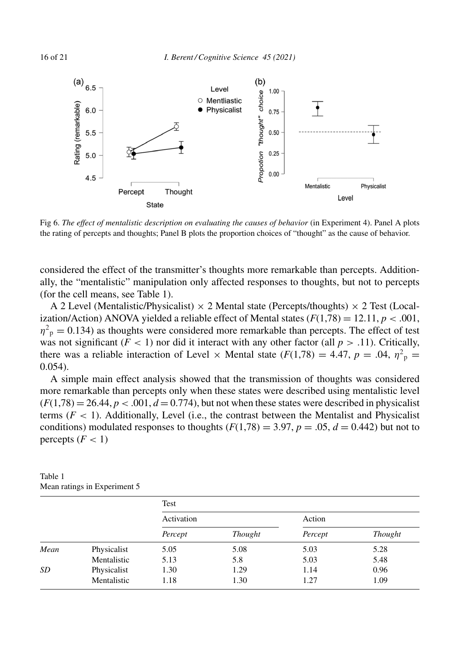

Fig 6. *The effect of mentalistic description on evaluating the causes of behavior* (in Experiment 4). Panel A plots the rating of percepts and thoughts; Panel B plots the proportion choices of "thought" as the cause of behavior.

considered the effect of the transmitter's thoughts more remarkable than percepts. Additionally, the "mentalistic" manipulation only affected responses to thoughts, but not to percepts (for the cell means, see Table 1).

A 2 Level (Mentalistic/Physicalist)  $\times$  2 Mental state (Percepts/thoughts)  $\times$  2 Test (Localization/Action) ANOVA yielded a reliable effect of Mental states  $(F(1,78) = 12.11, p < .001,$  $\eta^2$ <sub>p</sub> = 0.134) as thoughts were considered more remarkable than percepts. The effect of test was not significant  $(F < 1)$  nor did it interact with any other factor (all  $p > .11$ ). Critically, there was a reliable interaction of Level  $\times$  Mental state ( $F(1,78) = 4.47$ ,  $p = .04$ ,  $\eta^2$ <sub>p</sub> = 0.054).

A simple main effect analysis showed that the transmission of thoughts was considered more remarkable than percepts only when these states were described using mentalistic level  $(F(1,78) = 26.44, p < .001, d = 0.774)$ , but not when these states were described in physicalist terms  $(F < 1)$ . Additionally, Level (i.e., the contrast between the Mentalist and Physicalist conditions) modulated responses to thoughts  $(F(1,78) = 3.97, p = .05, d = 0.442)$  but not to percepts  $(F < 1)$ 

|      |             | Test       |                |         |         |
|------|-------------|------------|----------------|---------|---------|
|      |             | Activation |                | Action  |         |
|      |             | Percept    | <b>Thought</b> | Percept | Thought |
| Mean | Physicalist | 5.05       | 5.08           | 5.03    | 5.28    |
|      | Mentalistic | 5.13       | 5.8            | 5.03    | 5.48    |
| SD   | Physicalist | 1.30       | 1.29           | 1.14    | 0.96    |
|      | Mentalistic | 1.18       | 1.30           | 1.27    | 1.09    |

Table 1 Mean ratings in Experiment 5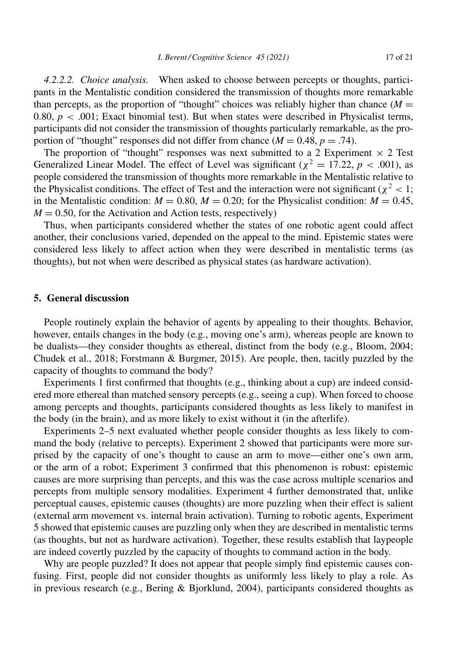*4.2.2.2. Choice analysis.* When asked to choose between percepts or thoughts, participants in the Mentalistic condition considered the transmission of thoughts more remarkable than percepts, as the proportion of "thought" choices was reliably higher than chance  $(M =$ 0.80,  $p < .001$ ; Exact binomial test). But when states were described in Physicalist terms, participants did not consider the transmission of thoughts particularly remarkable, as the proportion of "thought" responses did not differ from chance  $(M = 0.48, p = .74)$ .

The proportion of "thought" responses was next submitted to a 2 Experiment  $\times$  2 Test Generalized Linear Model. The effect of Level was significant ( $\chi^2 = 17.22$ ,  $p < .001$ ), as people considered the transmission of thoughts more remarkable in the Mentalistic relative to the Physicalist conditions. The effect of Test and the interaction were not significant ( $\chi^2$  < 1; in the Mentalistic condition:  $M = 0.80$ ,  $M = 0.20$ ; for the Physicalist condition:  $M = 0.45$ ,  $M = 0.50$ , for the Activation and Action tests, respectively)

Thus, when participants considered whether the states of one robotic agent could affect another, their conclusions varied, depended on the appeal to the mind. Epistemic states were considered less likely to affect action when they were described in mentalistic terms (as thoughts), but not when were described as physical states (as hardware activation).

# **5. General discussion**

People routinely explain the behavior of agents by appealing to their thoughts. Behavior, however, entails changes in the body (e.g., moving one's arm), whereas people are known to be dualists—they consider thoughts as ethereal, distinct from the body (e.g., Bloom, 2004; Chudek et al., 2018; Forstmann & Burgmer, 2015). Are people, then, tacitly puzzled by the capacity of thoughts to command the body?

Experiments 1 first confirmed that thoughts (e.g., thinking about a cup) are indeed considered more ethereal than matched sensory percepts (e.g., seeing a cup). When forced to choose among percepts and thoughts, participants considered thoughts as less likely to manifest in the body (in the brain), and as more likely to exist without it (in the afterlife).

Experiments 2–5 next evaluated whether people consider thoughts as less likely to command the body (relative to percepts). Experiment 2 showed that participants were more surprised by the capacity of one's thought to cause an arm to move—either one's own arm, or the arm of a robot; Experiment 3 confirmed that this phenomenon is robust: epistemic causes are more surprising than percepts, and this was the case across multiple scenarios and percepts from multiple sensory modalities. Experiment 4 further demonstrated that, unlike perceptual causes, epistemic causes (thoughts) are more puzzling when their effect is salient (external arm movement vs. internal brain activation). Turning to robotic agents, Experiment 5 showed that epistemic causes are puzzling only when they are described in mentalistic terms (as thoughts, but not as hardware activation). Together, these results establish that laypeople are indeed covertly puzzled by the capacity of thoughts to command action in the body.

Why are people puzzled? It does not appear that people simply find epistemic causes confusing. First, people did not consider thoughts as uniformly less likely to play a role. As in previous research (e.g., Bering & Bjorklund, 2004), participants considered thoughts as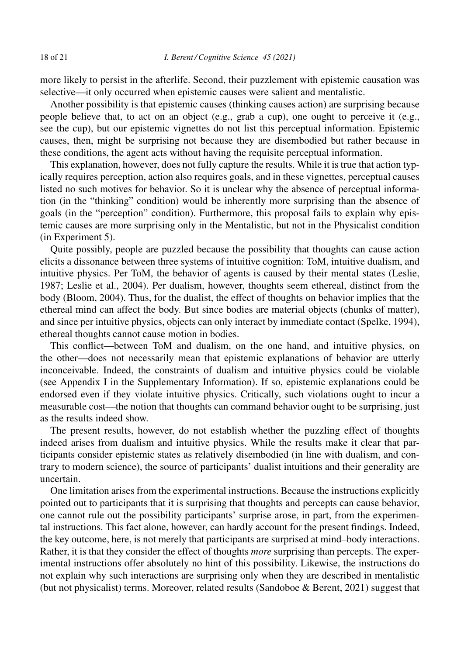more likely to persist in the afterlife. Second, their puzzlement with epistemic causation was selective—it only occurred when epistemic causes were salient and mentalistic.

Another possibility is that epistemic causes (thinking causes action) are surprising because people believe that, to act on an object (e.g., grab a cup), one ought to perceive it (e.g., see the cup), but our epistemic vignettes do not list this perceptual information. Epistemic causes, then, might be surprising not because they are disembodied but rather because in these conditions, the agent acts without having the requisite perceptual information.

This explanation, however, does not fully capture the results. While it is true that action typically requires perception, action also requires goals, and in these vignettes, perceptual causes listed no such motives for behavior. So it is unclear why the absence of perceptual information (in the "thinking" condition) would be inherently more surprising than the absence of goals (in the "perception" condition). Furthermore, this proposal fails to explain why epistemic causes are more surprising only in the Mentalistic, but not in the Physicalist condition (in Experiment 5).

Quite possibly, people are puzzled because the possibility that thoughts can cause action elicits a dissonance between three systems of intuitive cognition: ToM, intuitive dualism, and intuitive physics. Per ToM, the behavior of agents is caused by their mental states (Leslie, 1987; Leslie et al., 2004). Per dualism, however, thoughts seem ethereal, distinct from the body (Bloom, 2004). Thus, for the dualist, the effect of thoughts on behavior implies that the ethereal mind can affect the body. But since bodies are material objects (chunks of matter), and since per intuitive physics, objects can only interact by immediate contact (Spelke, 1994), ethereal thoughts cannot cause motion in bodies.

This conflict—between ToM and dualism, on the one hand, and intuitive physics, on the other—does not necessarily mean that epistemic explanations of behavior are utterly inconceivable. Indeed, the constraints of dualism and intuitive physics could be violable (see Appendix I in the Supplementary Information). If so, epistemic explanations could be endorsed even if they violate intuitive physics. Critically, such violations ought to incur a measurable cost—the notion that thoughts can command behavior ought to be surprising, just as the results indeed show.

The present results, however, do not establish whether the puzzling effect of thoughts indeed arises from dualism and intuitive physics. While the results make it clear that participants consider epistemic states as relatively disembodied (in line with dualism, and contrary to modern science), the source of participants' dualist intuitions and their generality are uncertain.

One limitation arises from the experimental instructions. Because the instructions explicitly pointed out to participants that it is surprising that thoughts and percepts can cause behavior, one cannot rule out the possibility participants' surprise arose, in part, from the experimental instructions. This fact alone, however, can hardly account for the present findings. Indeed, the key outcome, here, is not merely that participants are surprised at mind–body interactions. Rather, it is that they consider the effect of thoughts *more* surprising than percepts. The experimental instructions offer absolutely no hint of this possibility. Likewise, the instructions do not explain why such interactions are surprising only when they are described in mentalistic (but not physicalist) terms. Moreover, related results (Sandoboe & Berent, 2021) suggest that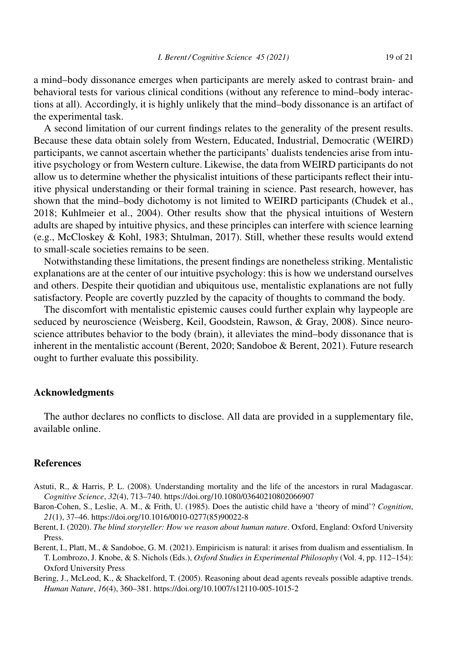a mind–body dissonance emerges when participants are merely asked to contrast brain- and behavioral tests for various clinical conditions (without any reference to mind–body interactions at all). Accordingly, it is highly unlikely that the mind–body dissonance is an artifact of the experimental task.

A second limitation of our current findings relates to the generality of the present results. Because these data obtain solely from Western, Educated, Industrial, Democratic (WEIRD) participants, we cannot ascertain whether the participants' dualists tendencies arise from intuitive psychology or from Western culture. Likewise, the data from WEIRD participants do not allow us to determine whether the physicalist intuitions of these participants reflect their intuitive physical understanding or their formal training in science. Past research, however, has shown that the mind–body dichotomy is not limited to WEIRD participants (Chudek et al., 2018; Kuhlmeier et al., 2004). Other results show that the physical intuitions of Western adults are shaped by intuitive physics, and these principles can interfere with science learning (e.g., McCloskey & Kohl, 1983; Shtulman, 2017). Still, whether these results would extend to small-scale societies remains to be seen.

Notwithstanding these limitations, the present findings are nonetheless striking. Mentalistic explanations are at the center of our intuitive psychology: this is how we understand ourselves and others. Despite their quotidian and ubiquitous use, mentalistic explanations are not fully satisfactory. People are covertly puzzled by the capacity of thoughts to command the body.

The discomfort with mentalistic epistemic causes could further explain why laypeople are seduced by neuroscience (Weisberg, Keil, Goodstein, Rawson, & Gray, 2008). Since neuroscience attributes behavior to the body (brain), it alleviates the mind–body dissonance that is inherent in the mentalistic account (Berent, 2020; Sandoboe & Berent, 2021). Future research ought to further evaluate this possibility.

# **Acknowledgments**

The author declares no conflicts to disclose. All data are provided in a supplementary file, available online.

# **References**

- Astuti, R., & Harris, P. L. (2008). Understanding mortality and the life of the ancestors in rural Madagascar. *Cognitive Science*, *32*(4), 713–740.<https://doi.org/10.1080/03640210802066907>
- Baron-Cohen, S., Leslie, A. M., & Frith, U. (1985). Does the autistic child have a 'theory of mind'? *Cognition*, *21*(1), 37–46. [https://doi.org/10.1016/0010-0277\(85\)90022-8](https://doi.org/10.1016/0010-0277(85)90022-8)
- Berent, I. (2020). *The blind storyteller: How we reason about human nature*. Oxford, England: Oxford University Press.
- Berent, I., Platt, M., & Sandoboe, G. M. (2021). Empiricism is natural: it arises from dualism and essentialism. In T. Lombrozo, J. Knobe, & S. Nichols (Eds.), *Oxford Studies in Experimental Philosophy* (Vol. 4, pp. 112–154): Oxford University Press
- Bering, J., McLeod, K., & Shackelford, T. (2005). Reasoning about dead agents reveals possible adaptive trends. *Human Nature*, *16*(4), 360–381.<https://doi.org/10.1007/s12110-005-1015-2>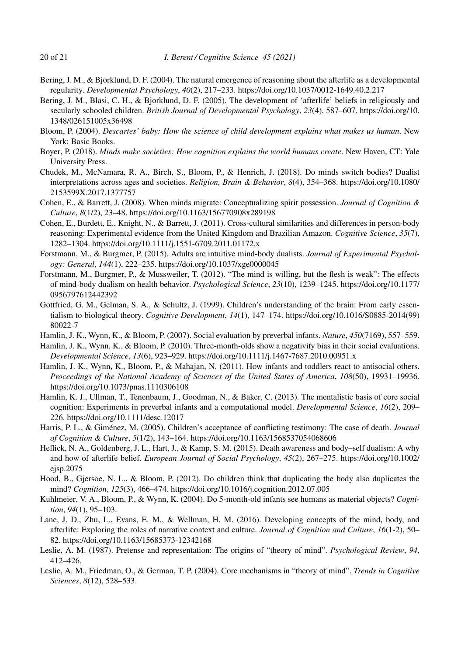- Bering, J. M., & Bjorklund, D. F. (2004). The natural emergence of reasoning about the afterlife as a developmental regularity. *Developmental Psychology*, *40*(2), 217–233.<https://doi.org/10.1037/0012-1649.40.2.217>
- Bering, J. M., Blasi, C. H., & Bjorklund, D. F. (2005). The development of 'afterlife' beliefs in religiously and secularly schooled children. *British Journal of Developmental Psychology*, *23*(4), 587–607. [https://doi.org/10.](https://doi.org/10.1348/026151005x36498) [1348/026151005x36498](https://doi.org/10.1348/026151005x36498)
- Bloom, P. (2004). *Descartes' baby: How the science of child development explains what makes us human*. New York: Basic Books.
- Boyer, P. (2018). *Minds make societies: How cognition explains the world humans create*. New Haven, CT: Yale University Press.
- Chudek, M., McNamara, R. A., Birch, S., Bloom, P., & Henrich, J. (2018). Do minds switch bodies? Dualist interpretations across ages and societies. *Religion, Brain & Behavior*, *8*(4), 354–368. [https://doi.org/10.1080/](https://doi.org/10.1080/2153599X.2017.1377757) [2153599X.2017.1377757](https://doi.org/10.1080/2153599X.2017.1377757)
- Cohen, E., & Barrett, J. (2008). When minds migrate: Conceptualizing spirit possession. *Journal of Cognition & Culture*, *8*(1/2), 23–48.<https://doi.org/10.1163/156770908x289198>
- Cohen, E., Burdett, E., Knight, N., & Barrett, J. (2011). Cross-cultural similarities and differences in person-body reasoning: Experimental evidence from the United Kingdom and Brazilian Amazon. *Cognitive Science*, *35*(7), 1282–1304.<https://doi.org/10.1111/j.1551-6709.2011.01172.x>
- Forstmann, M., & Burgmer, P. (2015). Adults are intuitive mind-body dualists. *Journal of Experimental Psychology: General*, *144*(1), 222–235.<https://doi.org/10.1037/xge0000045>
- Forstmann, M., Burgmer, P., & Mussweiler, T. (2012). "The mind is willing, but the flesh is weak": The effects of mind-body dualism on health behavior. *Psychological Science*, *23*(10), 1239–1245. [https://doi.org/10.1177/](https://doi.org/10.1177/0956797612442392) [0956797612442392](https://doi.org/10.1177/0956797612442392)
- Gottfried, G. M., Gelman, S. A., & Schultz, J. (1999). Children's understanding of the brain: From early essentialism to biological theory. *Cognitive Development*, *14*(1), 147–174. [https://doi.org/10.1016/S0885-2014\(99\)](https://doi.org/10.1016/S0885-2014(99)80022-7) [80022-7](https://doi.org/10.1016/S0885-2014(99)80022-7)
- Hamlin, J. K., Wynn, K., & Bloom, P. (2007). Social evaluation by preverbal infants. *Nature*, *450*(7169), 557–559.
- Hamlin, J. K., Wynn, K., & Bloom, P. (2010). Three-month-olds show a negativity bias in their social evaluations. *Developmental Science*, *13*(6), 923–929.<https://doi.org/10.1111/j.1467-7687.2010.00951.x>
- Hamlin, J. K., Wynn, K., Bloom, P., & Mahajan, N. (2011). How infants and toddlers react to antisocial others. *Proceedings of the National Academy of Sciences of the United States of America*, *108*(50), 19931–19936. <https://doi.org/10.1073/pnas.1110306108>
- Hamlin, K. J., Ullman, T., Tenenbaum, J., Goodman, N., & Baker, C. (2013). The mentalistic basis of core social cognition: Experiments in preverbal infants and a computational model. *Developmental Science*, *16*(2), 209– 226.<https://doi.org/10.1111/desc.12017>
- Harris, P. L., & Giménez, M. (2005). Children's acceptance of conflicting testimony: The case of death. *Journal of Cognition & Culture*, *5*(1/2), 143–164.<https://doi.org/10.1163/1568537054068606>
- Heflick, N. A., Goldenberg, J. L., Hart, J., & Kamp, S. M. (2015). Death awareness and body–self dualism: A why and how of afterlife belief. *European Journal of Social Psychology*, *45*(2), 267–275. [https://doi.org/10.1002/](https://doi.org/10.1002/ejsp.2075) [ejsp.2075](https://doi.org/10.1002/ejsp.2075)
- Hood, B., Gjersoe, N. L., & Bloom, P. (2012). Do children think that duplicating the body also duplicates the mind? *Cognition*, *125*(3), 466–474.<https://doi.org/10.1016/j.cognition.2012.07.005>
- Kuhlmeier, V. A., Bloom, P., & Wynn, K. (2004). Do 5-month-old infants see humans as material objects? *Cognition*, *94*(1), 95–103.
- Lane, J. D., Zhu, L., Evans, E. M., & Wellman, H. M. (2016). Developing concepts of the mind, body, and afterlife: Exploring the roles of narrative context and culture. *Journal of Cognition and Culture*, *16*(1-2), 50– 82.<https://doi.org/10.1163/15685373-12342168>
- Leslie, A. M. (1987). Pretense and representation: The origins of "theory of mind". *Psychological Review*, *94*, 412–426.
- Leslie, A. M., Friedman, O., & German, T. P. (2004). Core mechanisms in "theory of mind". *Trends in Cognitive Sciences*, *8*(12), 528–533.